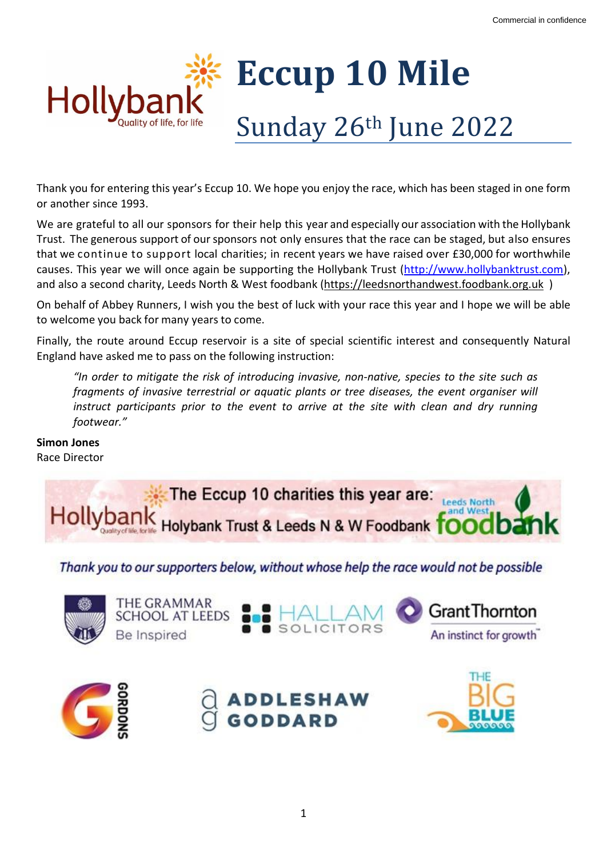

Thank you for entering this year's Eccup 10. We hope you enjoy the race, which has been staged in one form or another since 1993.

We are grateful to all our sponsors for their help this year and especially our association with the Hollybank Trust. The generous support of our sponsors not only ensures that the race can be staged, but also ensures that we continue to support local charities; in recent years we have raised over £30,000 for worthwhile causes. This year we will once again be supporting the Hollybank Trust [\(http://www.hollybanktrust.com\)](http://www.hollybanktrust.com/), and also a second charity, Leeds North & West foodbank [\(https://leedsnorthandwest.foodbank.org.uk](https://leedsnorthandwest.foodbank.org.uk/) )

On behalf of Abbey Runners, I wish you the best of luck with your race this year and I hope we will be able to welcome you back for many years to come.

Finally, the route around Eccup reservoir is a site of special scientific interest and consequently Natural England have asked me to pass on the following instruction:

*"In order to mitigate the risk of introducing invasive, non-native, species to the site such as fragments of invasive terrestrial or aquatic plants or tree diseases, the event organiser will instruct participants prior to the event to arrive at the site with clean and dry running footwear."*

**Simon Jones** Race Director



Thank you to our supporters below, without whose help the race would not be possible







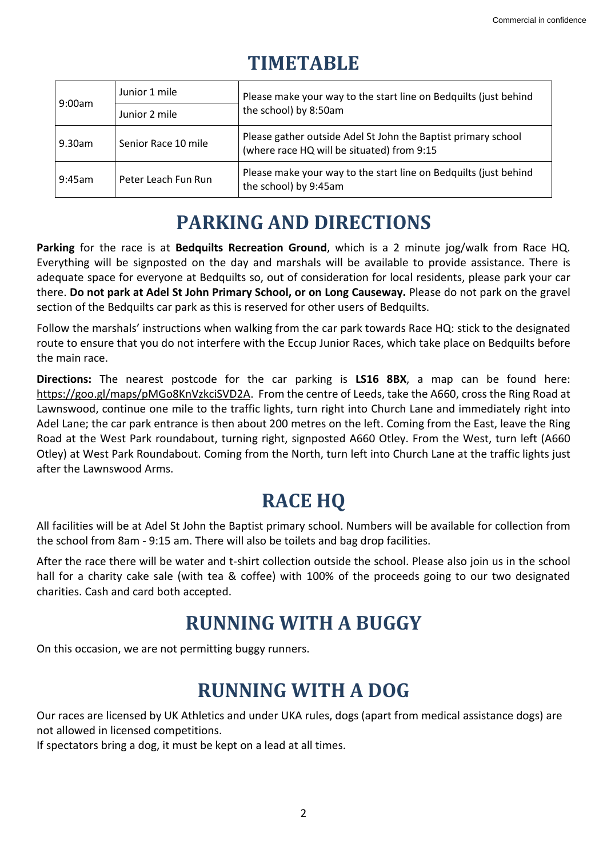# **TIMETABLE**

| 9:00am | Junior 1 mile       | Please make your way to the start line on Bedquilts (just behind<br>the school) by 8:50am                   |
|--------|---------------------|-------------------------------------------------------------------------------------------------------------|
|        | Junior 2 mile       |                                                                                                             |
| 9.30am | Senior Race 10 mile | Please gather outside Adel St John the Baptist primary school<br>(where race HQ will be situated) from 9:15 |
| 9:45am | Peter Leach Fun Run | Please make your way to the start line on Bedquilts (just behind<br>the school) by 9:45am                   |

# **PARKING AND DIRECTIONS**

**Parking** for the race is at **Bedquilts Recreation Ground**, which is a 2 minute jog/walk from Race HQ. Everything will be signposted on the day and marshals will be available to provide assistance. There is adequate space for everyone at Bedquilts so, out of consideration for local residents, please park your car there. **Do not park at Adel St John Primary School, or on Long Causeway.** Please do not park on the gravel section of the Bedquilts car park as this is reserved for other users of Bedquilts.

Follow the marshals' instructions when walking from the car park towards Race HQ: stick to the designated route to ensure that you do not interfere with the Eccup Junior Races, which take place on Bedquilts before the main race.

**Directions:** The nearest postcode for the car parking is **LS16 8BX**, a map can be found here: [https://goo.gl/maps/pMGo8KnVzkciSVD2A.](https://goo.gl/maps/pMGo8KnVzkciSVD2A) From the centre of Leeds, take the A660, cross the Ring Road at Lawnswood, continue one mile to the traffic lights, turn right into Church Lane and immediately right into Adel Lane; the car park entrance is then about 200 metres on the left. Coming from the East, leave the Ring Road at the West Park roundabout, turning right, signposted A660 Otley. From the West, turn left (A660 Otley) at West Park Roundabout. Coming from the North, turn left into Church Lane at the traffic lights just after the Lawnswood Arms.

# **RACE HQ**

All facilities will be at Adel St John the Baptist primary school. Numbers will be available for collection from the school from 8am - 9:15 am. There will also be toilets and bag drop facilities.

After the race there will be water and t-shirt collection outside the school. Please also join us in the school hall for a charity cake sale (with tea & coffee) with 100% of the proceeds going to our two designated charities. Cash and card both accepted.

## **RUNNING WITH A BUGGY**

On this occasion, we are not permitting buggy runners.

## **RUNNING WITH A DOG**

Our races are licensed by UK Athletics and under UKA rules, dogs (apart from medical assistance dogs) are not allowed in licensed competitions.

If spectators bring a dog, it must be kept on a lead at all times.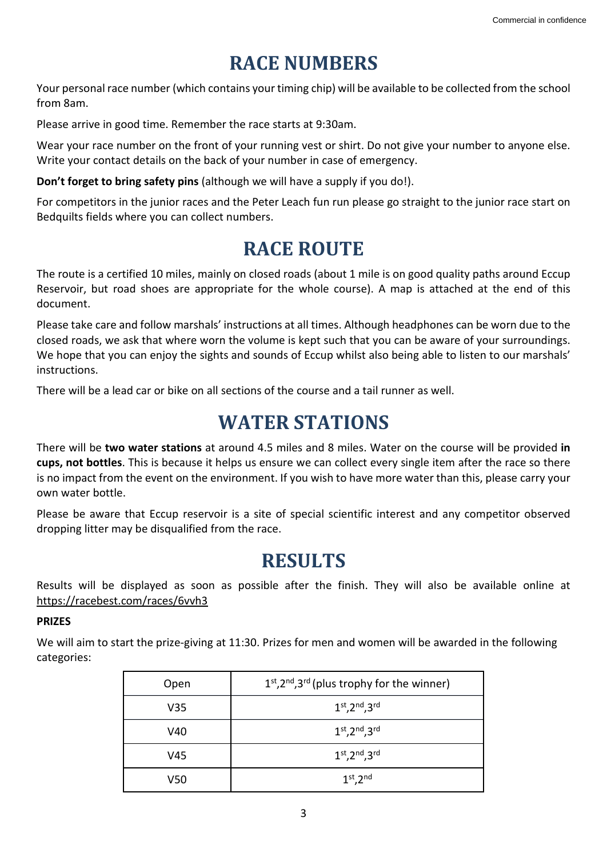## **RACE NUMBERS**

Your personal race number (which contains your timing chip) will be available to be collected from the school from 8am.

Please arrive in good time. Remember the race starts at 9:30am.

Wear your race number on the front of your running vest or shirt. Do not give your number to anyone else. Write your contact details on the back of your number in case of emergency.

**Don't forget to bring safety pins** (although we will have a supply if you do!).

For competitors in the junior races and the Peter Leach fun run please go straight to the junior race start on Bedquilts fields where you can collect numbers.

#### **RACE ROUTE**

The route is a certified 10 miles, mainly on closed roads (about 1 mile is on good quality paths around Eccup Reservoir, but road shoes are appropriate for the whole course). A map is attached at the end of this document.

Please take care and follow marshals' instructions at all times. Although headphones can be worn due to the closed roads, we ask that where worn the volume is kept such that you can be aware of your surroundings. We hope that you can enjoy the sights and sounds of Eccup whilst also being able to listen to our marshals' instructions.

There will be a lead car or bike on all sections of the course and a tail runner as well.

#### **WATER STATIONS**

There will be **two water stations** at around 4.5 miles and 8 miles. Water on the course will be provided **in cups, not bottles**. This is because it helps us ensure we can collect every single item after the race so there is no impact from the event on the environment. If you wish to have more water than this, please carry your own water bottle.

Please be aware that Eccup reservoir is a site of special scientific interest and any competitor observed dropping litter may be disqualified from the race.

## **RESULTS**

Results will be displayed as soon as possible after the finish. They will also be available online at <https://racebest.com/races/6vvh3>

#### **PRIZES**

We will aim to start the prize-giving at 11:30. Prizes for men and women will be awarded in the following categories:

| Open | $1st, 2nd, 3rd$ (plus trophy for the winner) |
|------|----------------------------------------------|
| V35  | $1st, 2nd, 3rd$                              |
| V40  | $1st, 2nd, 3rd$                              |
| V45  | $1st, 2nd, 3rd$                              |
| V50  | $1st$ , $2nd$                                |